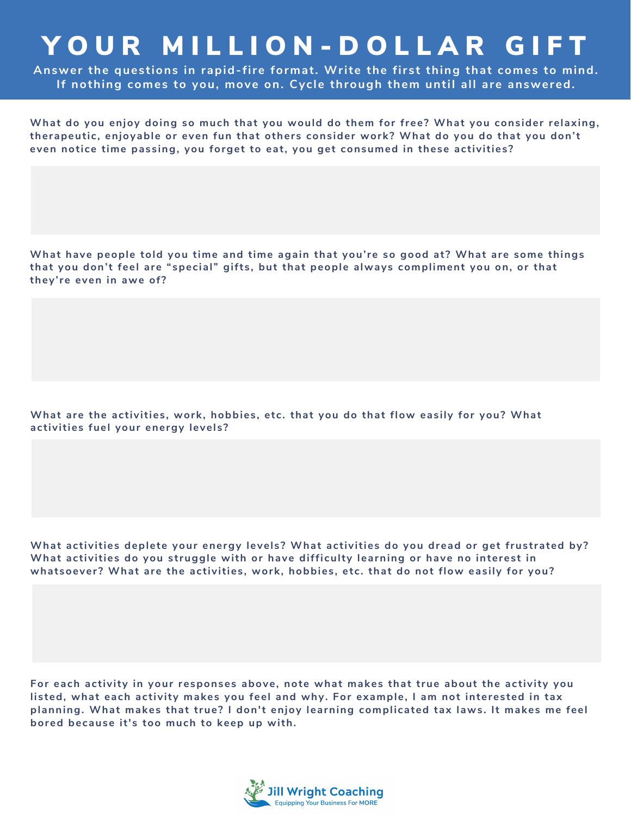## YOUR MILLION-DOLLAR GIFT

**Answer the questions in rapid-fire format. Write the first thing that comes to mind. If nothing comes to you, move on. Cycle through them until all are answered.**

**What do you enjoy doing so much that you would do them for free? What you consider relaxing, therapeutic, enjoyable or even fun that others consider work? What do you do that you don't even notice time passing, you forget to eat, you get consumed in these activities?**

**What have people told you time and time again that you're so good at? What are some things that you don't feel are "special" gifts, but that people always compliment you on, or that they're even in awe of?**

**What are the activities, work, hobbies, etc. that you do that flow easily for you? What activities fuel your energy levels?**

**What activities deplete your energy levels? What activities do you dread or get frustrated by? What activities do you struggle with or have difficulty learning or have no interest in whatsoever? What are the activities, work, hobbies, etc. that do not flow easily for you?**

**For each activity in your responses above, note what makes that true about the activity you listed, what each activity makes you feel and why. For example, I am not interested in tax planning. What makes that true? I don't enjoy learning complicated tax laws. It makes me feel bored because it's too much to keep up with.**